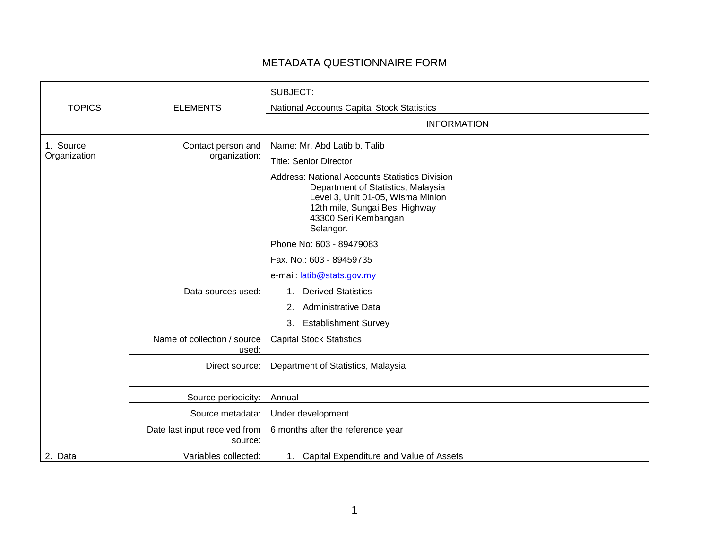## METADATA QUESTIONNAIRE FORM

|                           |                                          | SUBJECT:                                                                                                                                                                                                                                                                 |
|---------------------------|------------------------------------------|--------------------------------------------------------------------------------------------------------------------------------------------------------------------------------------------------------------------------------------------------------------------------|
| <b>TOPICS</b>             | <b>ELEMENTS</b>                          | National Accounts Capital Stock Statistics                                                                                                                                                                                                                               |
|                           |                                          | <b>INFORMATION</b>                                                                                                                                                                                                                                                       |
| 1. Source<br>Organization | Contact person and<br>organization:      | Name: Mr. Abd Latib b. Talib<br><b>Title: Senior Director</b><br><b>Address: National Accounts Statistics Division</b><br>Department of Statistics, Malaysia<br>Level 3, Unit 01-05, Wisma Minlon<br>12th mile, Sungai Besi Highway<br>43300 Seri Kembangan<br>Selangor. |
|                           |                                          | Phone No: 603 - 89479083<br>Fax. No.: 603 - 89459735<br>e-mail: latib@stats.gov.my                                                                                                                                                                                       |
|                           | Data sources used:                       | <b>Derived Statistics</b><br>1.<br>Administrative Data<br>2.<br><b>Establishment Survey</b><br>3.                                                                                                                                                                        |
|                           | Name of collection / source<br>used:     | <b>Capital Stock Statistics</b>                                                                                                                                                                                                                                          |
|                           | Direct source:                           | Department of Statistics, Malaysia                                                                                                                                                                                                                                       |
|                           | Source periodicity:                      | Annual                                                                                                                                                                                                                                                                   |
|                           | Source metadata:                         | Under development                                                                                                                                                                                                                                                        |
|                           | Date last input received from<br>source: | 6 months after the reference year                                                                                                                                                                                                                                        |
| 2. Data                   | Variables collected:                     | 1. Capital Expenditure and Value of Assets                                                                                                                                                                                                                               |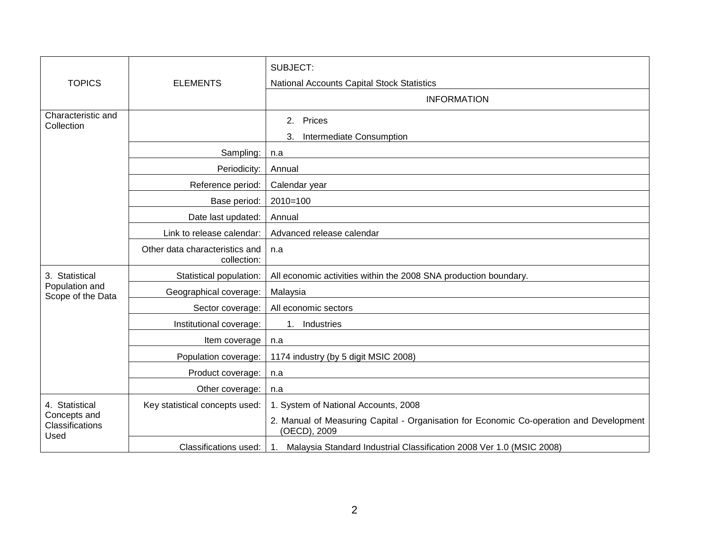|                                                           |                                               | SUBJECT:                                                                                                |
|-----------------------------------------------------------|-----------------------------------------------|---------------------------------------------------------------------------------------------------------|
| <b>TOPICS</b>                                             | <b>ELEMENTS</b>                               | National Accounts Capital Stock Statistics                                                              |
|                                                           |                                               | <b>INFORMATION</b>                                                                                      |
| Characteristic and<br>Collection                          |                                               | Prices<br>2.                                                                                            |
|                                                           |                                               | Intermediate Consumption<br>3.                                                                          |
|                                                           | Sampling:                                     | n.a                                                                                                     |
|                                                           | Periodicity:                                  | Annual                                                                                                  |
|                                                           | Reference period:                             | Calendar year                                                                                           |
|                                                           | Base period:                                  | $2010=100$                                                                                              |
|                                                           | Date last updated:                            | Annual                                                                                                  |
|                                                           | Link to release calendar:                     | Advanced release calendar                                                                               |
|                                                           | Other data characteristics and<br>collection: | n.a                                                                                                     |
| 3. Statistical<br>Population and<br>Scope of the Data     | Statistical population:                       | All economic activities within the 2008 SNA production boundary.                                        |
|                                                           | Geographical coverage:                        | Malaysia                                                                                                |
|                                                           | Sector coverage:                              | All economic sectors                                                                                    |
|                                                           | Institutional coverage:                       | Industries<br>1 <sup>1</sup>                                                                            |
|                                                           | Item coverage                                 | n.a                                                                                                     |
|                                                           | Population coverage:                          | 1174 industry (by 5 digit MSIC 2008)                                                                    |
|                                                           | Product coverage:                             | n.a                                                                                                     |
|                                                           | Other coverage:                               | n.a                                                                                                     |
| 4. Statistical<br>Concepts and<br>Classifications<br>Used | Key statistical concepts used:                | 1. System of National Accounts, 2008                                                                    |
|                                                           |                                               | 2. Manual of Measuring Capital - Organisation for Economic Co-operation and Development<br>(OECD), 2009 |
|                                                           | <b>Classifications used:</b>                  | Malaysia Standard Industrial Classification 2008 Ver 1.0 (MSIC 2008)<br>1.                              |